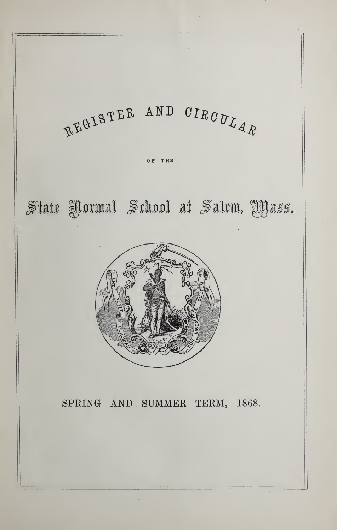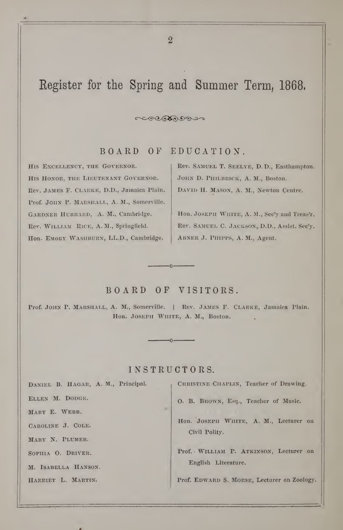# Register for the Spring and Summer Term, 1868,

BOARD OF EDUCATION.

 $CCCOORO$ 

His Excellency, the Governor. HIS HONOR, THE LIEUTENANT GOVERNOR. Rev. James F. Clarke, D.D., Jamaica Plain. Prof. JOHN P. MARSHALL, A. M., Somerville. GARDNER HUBBARD, A. M., Cambridge. Rev. WILLIAM RICE, A. M., Springfield. Hon. EMORY WASHBURN, LL.D., Cambridge.

Rev. Samuel T. Seelye, D. D., Easthampton. JOHN D. PHILBRICK, A. M., Boston. DAVID H. MASON, A. M., Newton Centre.

Hon. JOSEPH WHITE, A. M., Sec'y and Treas'r. Rev. SAMUEL C. JACKSON, D.D., Assist. Sec'y. ABNER J. PHIPPS, A. M., Agent.

# BOARD OF VISITORS.

-0-

Prof. JOHN P. MARSHALL, A. M., Somerville. | Rev. JAMES F. CLARKE, Jamaica Plain. Hon. JOSEPH WHITE, A. M., Boston.

# INSTRUCTORS.

 $-\Omega$  –

Daniel B. Hagar, A. M., Principal.

Ellen M. Dodge.

MARY E. WEBB.

Caroline J. Cole.

Mary N. Plumer.

SOPHIA O. DRIVER.

M. Isabella Hanson.

HARRIET L. MARTIN.

CHRISTINE CHAPLIN, Teacher of Drawing.

O. B. Brown, Esq., Teacher of Music.

Hon. JOSEPH WHITE, A. M., Lecturer on Civil Polity.

Prof. William P. Atkinson, Lecturer on English Literature.

Prof. EDWARD S. MORSE, Lecturer on Zoology.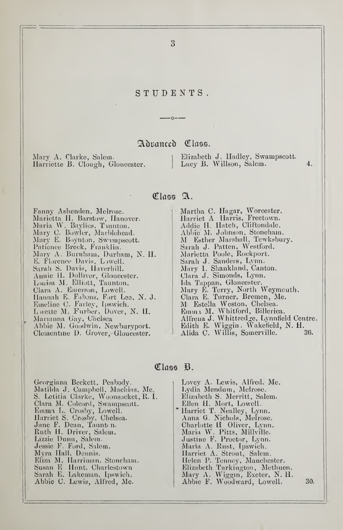## STUDENTS.

## Adranced Class.

 $-n - -$ 

Mary A. Clarke, Salem. Harriette B. Clough, Gloucester. Elizabeth J. Hadley, Swampscott.<br>Lucy B. Willson, Salem. 4. Lucy B. Willson, Salem.

### Class A.

Fanny Ashenden. Melrose. Marietta H. Barstow, Hanover. I JNlaria VV. Baylies. Tiunton. Mary C. Bowler, Murblehead. Mary E. Boynton, Sw-unpscott.  $\qquad \qquad$ Patience Brcck, Franklin. Mary A. Burnham, Durham, N. H. B. Florence Davis, L)well. The Sarah S. Davis, Haverhill. Annie II. Dolliver, Gloucester. Louisa M. Elliott, Taunton. Clara A. Knierson, Lowell. Hannah E. Fabens, Fort Lee, N. J. – 1 Emeline (J. Farley, Ipswich. L wette M. Furber, Dover, N. H. Marianna Gay, Chelsea Abbie M. Goodwin, Newburyport. Clementine D. Grover, Gloucester.

Martha C. Hagar, Worcester. Harriet A Harris, Freetown. Addie H. Hatch, Cliftondale. Abi)ie M. Johnson, Stonehain. M Esther Marshall, Tewksbury. Sarah J. Patten, Westford. Marietta Poole, Rockport. – – Sarah J. Sanders, Lynn. Mary L Shankland, Canton. Clara J. Simonds, Lynn. Ida Tappan, Gloucester. Mary E. Terry, North Weymouth. Clara E. Turner, Bremen, Me. M Estella Weston, Chelsea. Emmi M. Whitford, Billerica. Alfrena J. Whittredge, Lynnfield Centre. || Edith E. Wiggin. Wakefield, N. H. . . . . Alida C. Willis, Somerville. 36.

Class B.

| Georgiana Beckett, Peabody.          | Lovey A. Lewis, Alfred, Me.    |     |
|--------------------------------------|--------------------------------|-----|
| Matilda J. Campbell, Machias, Me.    | Lydia Mendum, Melrose.         |     |
| S. Letitia Clarke, Woonsocket, R. I. | Elizabeth S. Merritt, Salem.   |     |
| Clara M. Colcord, Swampscott.        | Ellen H. Mort, Lowell.         |     |
| Emma L. Crosby, Lowell.              | * Harriet T. Nealley, Lynn.    |     |
| Harriet S. Crosby. Chelsea.          | Anna G. Nichols, Melrose.      |     |
| Jane F. Dean, Taunten.               | Charlotte H Oliver, Lynn.      |     |
| Ruth H. Driver, Salem.               | Maria W. Pitts, Millville.     |     |
| Lizzie Dunn, Salem.                  | Justine F. Proctor, Lynn.      |     |
| Jessie F. Ford, Salem.               | Maria A. Rust, Ipswich.        |     |
| Myra Hall, Dennis.                   | Harriet A. Strout, Salem.      |     |
| Eliza M. Harriman, Stoneham.         | Helen P. Tenney, Manchester.   |     |
| Susan E Hunt, Charlestown            | Elizabeth Turkington, Methuen. |     |
| Sarah E. Lakeman, Ipswich.           | Mary A. Wiggin, Exeter, N. H.  |     |
| Abbie C. Lewis, Alfred, Me.          | Abbie F. Woodward, Lowell.     | 30. |
|                                      |                                |     |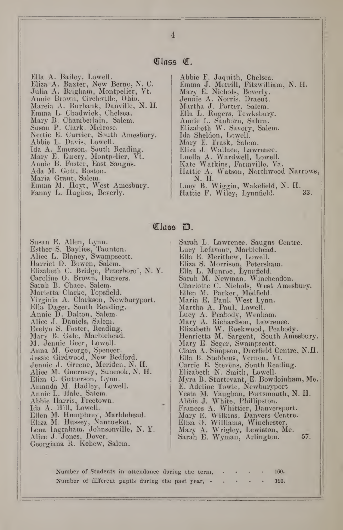### Class C.

Ella A. Bailey, Lowell. Eliza A. Baxter, New Berne, N. C. Julia A. Brigham, Montpelier, Vt.  $\blacksquare$ Annie Brown, Circleville, Ohio. Marcia A. Burbank, Danville, N. H. Emma L. Chadwick, Chelsea. Mary B. Chamberlain, Salem. Sasan P. Clark, Melrose. Nettie E. Currier, South Amesbury. Abbie L. Davis, Lowell. Ida A. Emerson, South Reading. Mary E. Emery, Montpelier, Vt. Annie B. Foster, East Saugus. Ada M. Gott, Boston. Maria Grant, Salem. Emma M. Hoyt, West Amesbury. Fanny L. Hughes, Beverly.

Abbie F. Jaquith, Chelsea. Emma J. Merrill, Fitzwilliam, N. H. Mary E. Nichols, Beverly. Jennie A. Norris, Dracut. Martha J. Porter, Salem. Ella L, Rogers, Tewksbury. Annie L. Sanborn, Salem. Elizabeth W. Savory, Salem. Ida Sheldon, Lowell. Mary E. Trask, Salem. Eliza J. Wallace, Lawrence. Luella A. Wardwell, Lowell. Kate Watkins, Farmville, V^a. Hattie A. Watson, Northwood Narrows, N. H. Luey B. Wiggin, Wakefield, N. H. Hattie F. Wiley, Lynntield. 33.

Susan E. Allen, Lynn. Esther S. Baylies, Taunton. Alice L. Blaney, Swampscott. Harriet D. Bowen, Salem. Elizabeth C. Bridge, Peterboro', N. Y. Caroline 0. Brown, Danvers. Sarah B. Chace, Salem. Marietta Clarke, Topsfield. Virginia A. Clarkson, Newburyport. Ella Dager, South Reading. Annie D. Dalton, Salem. Alice J. Daniels, Salem. Evelyn S. Foster, Reading. Mary B. Gale, Marblehead. M. Jennie Geer, Lowell. Anna M. George, Spencer. Jessie Girdwood, New Bedford. Jennie J. Greene, Meriden, N. H. Alice M. Guernsey, Suneook, N. H. Eliza C. Gutterson, Lynn. Amanda M. Hadley, Lowell. Annie L. Hale, Salem. Abbie Harris, Freetown. Ida A. Hill, Lowell. Ellen M. Humphrey, Marblehead. Eliza M. Hussey, Nantucket. Lena Ingraham, Johnsonville, N. Y. Alice J. Jones, Dover. Georgiana R. Kehew, Salem.

### Class D.

Sarah L. Lawrenee, Saugus Centre. Lucy Lefavour, Marblehead. Ella E. Merithew, Lowell. Eliza S. Morrison, Petersham. Ella L. Munroe, Lynnfield. Sarah M. Newman, Winchendon. Charlotte C. Niehols, West Amesbury.  $|| \cdot ||$ Ellen M. Parker, Medfield. Maria E. Paul, West Lynn. Martha A. Paul, Lowell. Lucy A. Peabody, Wenham. Mary A. Richardson, Lawrence. Elizabeth W. Rockwood, Peabody. Henrietta M. Sargent, South Amesbury. Mary E. Seger, Swampseott. Clara A. Simpson, Deerfield Centre, N.H. Ella B. Stebbens, Vernon, Vt. Carrie E. Stevens, South Reading. Elizabeth N. Smith, Lowell. Myra B. Sturtevant, E. Bowdoinham, Me. E. Adeline Towle, Newburyport Vesta M. Vaughan, Portsmouth, N. H. Abbie J. White, Phillipston. Frances A. Whittier, Danversport. Mary E. Wilkins, Danvers Centre. Eliza O. Williams, Winchester. Mary A. Wrigley, Lewiston, Me. Sarah E. Wyman, Arlington. 57.

Number of Students in attendance during the term, Number of different pupils during the past year, - 160. 190.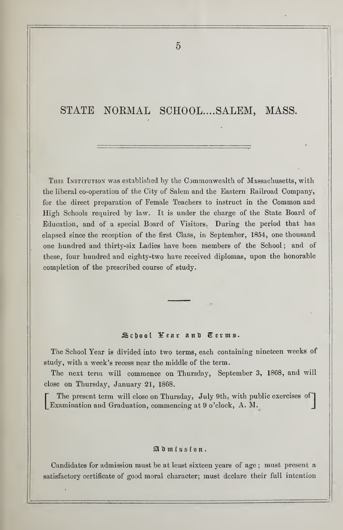# STATE NORMAL SCHOOL.... SALEM, MASS.

THIS INSTITUTION was established by the Commonwealth of Massachusetts, with the liberal co-operation of the City of Salem and the Eastern Railroad Company, for the direct preparation of Female Teachers to instruct in the Common and High Schools required by law. It is under the charge of the State Board of Education, and of a special Board of Visitors. During the period that has elapsed since the reception of the first Class, in September, 1854, one thousand one hundred and thirty-six Ladies have been members of the School; and of these, four hundred and eighty-two have received diplomas, upon the honorable completion of the prescribed course of study.

### School Year and Cerms.

The School Year is divided into two terms, each containing nineteen weeks of study, with a week's recess near the middle of the term.

The next term will commence on Thursday, September 3, 1868, and will close on Thursday, January 21, 1868.

The present term will close on Thursday, July 9th, with public exercises of Examination and Graduation, commencing at <sup>9</sup> o'clock, A. M. J

### $\mathfrak{A}$  d  $\mathfrak{m}$  is  $\mathfrak{s}$  f o  $\mathfrak{n}$ .

Candidates for admission must be at least sixteen years of age ; must present a satisfactory certificate of good moral character; must declare their full intention

 $\tilde{p}$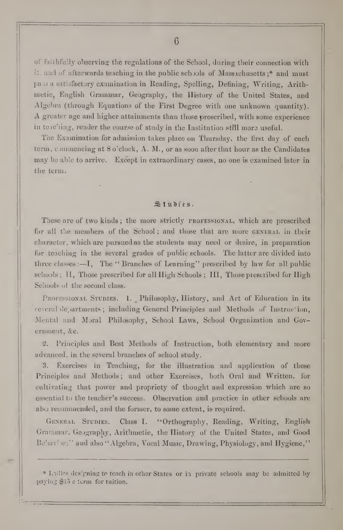6

oi" faithfully observing the regulations of the School, during their connection with it, and of afterwards teaching in the public schools of Mass.ichusetts;\* and must pass a satisfactory examination in Reading, Spelling, Defining, Writing, Arithmetic, English Grammar, Geography, the History of the United States, and Algebra (through Equations of the First Degree with one unknown quantity). A greater age and higher attainments than those prescribed, with some experience in tele'ling, render the course of study in the Institution still more useful.

The Examination for admission takes place on Thursday, the first day of each term, onnnencing at 8 o'clock, A. M., or as soon after that hour as the Candidates may be able to arrive. Except in extraordinary cases, no one is examined later in the term.

### $Stubies.$

These are of two kinds; the more strictly **PROFESSIONAL**, which are prescribed for all the members of the School; and those that are more GENERAL in their character, which are pursued as the students may need or desire, in preparation for teaching in the several grades of public schools. The latter are divided into three classes : $\overline{-1}$ , The "Branches of Learning" prescribed by law for all public schools; II, Those prescribed for all High Schools; III, Those prescribed for High Schools of the second class.

PROFESSIONAL STUDIES. 1. Philosophy, History, and Art of Education in its Feveral de, artments; including General Principles and Methods of Instruction, Mental and Moral Philosophy, School Laws, School Organization and Government, &c.

2. Principles and Best Methods of Instruction, both elementary and more advanced, in the several branches of school study.

3. Exercises in Teaching, for the illustration and application of these Principles and Methods; and other Exercises, both Oral and Written, for cultivating that power and propriety of thought and expression which are so essential to the teacher's success. Observation and practice in other schools are also recommended, and the former, to some extent, is required.

GENERAL STUDIES. Class I. "Orthography, Reading, Writing, English Grarntnar, Geography, Arithmetic, the History of the United States, and Good Be'avi *iv*;" and also "Algebra, Vocal Music, Drawing, Physiology, and Hygiene,"

<sup>\*</sup> Ladies designing to teach in other States or in private schools may be admitted by paying \$l') s term for tuition.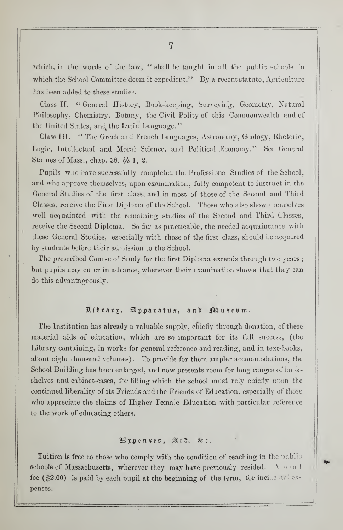which, in the words of the law, " shall be taught in all the public schools in which the School Committee deem it expedient." By a recent statute, Agriculture has been added to these studies.

Class II. "General History, Book-keeping, Surveying, Geometry, Natural Philosophy, Chemistry, Botany, the Civil Polity of this Commonwealth and of the United Slates, and the Latin Language."

Class III. " The Greek and French Languages, Astronomy, Geology, Rhetoric, Logic, Intellectual and Moral Science, and Political Economy." See General Statues of Mass., chap. 38,  $\lozenge$  1, 2.

Pupils who have successfully completed the Professional Studies of the School, and who approve themselves, upon examination, fally competent to instruct in the General Studies of the first class, and in most of those of the Second and Third Classes, receive the First Diploma of the School. Those who also show themselves well acquainted with the remaining studies of the Second and Third Classes, receive the Second Diploma, So far as practicable, the needed acquaintance with these General Studies, especially with those of the first class, should be acquired by students before their admission to the School.

The prescribed Course of Study for the first Diploma extends through two years; but pupils may enter in advance, whenever their examination shows that they can do this advantageously.

### Library, Apparatus, and Puseum.

The Institution has already a valuable supply, chiefly through donation, of these material aids of education, which are so important for its full success, (the Library containing, in works for general reference and reading, and in text-books, about eight thousand volumes). To provide for them ampler accommodations, the School Building has been enlarged, and now presents room for long ranges of bookshelves and cabinet-cases, for filling which the school must rely chiefly upon the continued liberality of its Friends and the Friends of Education, especially of those who appreciate the claims of Higher Female Education with particular reference to the work of educating others.

### $\mathbb{H}$  ppenses,  $\mathbb{R}$  [D,  $\&$  c.

Tuition is free to those who comply with the condition of teaching in the public schools of Massachusetts, wherever they may have previously resided. A small fee (\$2.00) is paid by each pupil at the beginning of the term, for incide and expenses.